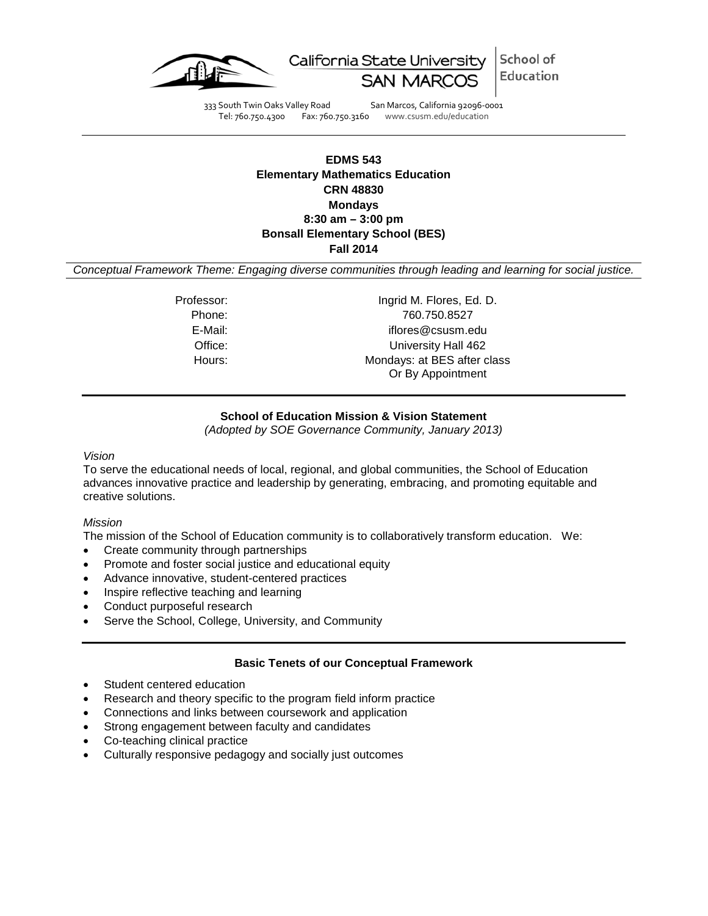

School of California State University Education

333 South Twin Oaks Valley Road San Marcos, California 92096-0001 Tel: 760.750.4300 Fax: 760.750.3160 www.csusm.edu/education

## **EDMS 543 Elementary Mathematics Education CRN 48830 Mondays 8:30 am – 3:00 pm Bonsall Elementary School (BES) Fall 2014**

*Conceptual Framework Theme: Engaging diverse communities through leading and learning for social justice.*

Professor: Ingrid M. Flores, Ed. D. Phone: 760.750.8527 E-Mail: iflores@csusm.edu Office: University Hall 462 Hours: Mondays: at BES after class Or By Appointment

## **School of Education Mission & Vision Statement**

*(Adopted by SOE Governance Community, January 2013)*

#### *Vision*

To serve the educational needs of local, regional, and global communities, the School of Education advances innovative practice and leadership by generating, embracing, and promoting equitable and creative solutions.

#### *Mission*

The mission of the School of Education community is to collaboratively transform education. We:

- Create community through partnerships
- Promote and foster social justice and educational equity
- Advance innovative, student-centered practices
- Inspire reflective teaching and learning
- Conduct purposeful research
- Serve the School, College, University, and Community

#### **Basic Tenets of our Conceptual Framework**

- Student centered education
- Research and theory specific to the program field inform practice
- Connections and links between coursework and application
- Strong engagement between faculty and candidates
- Co-teaching clinical practice
- Culturally responsive pedagogy and socially just outcomes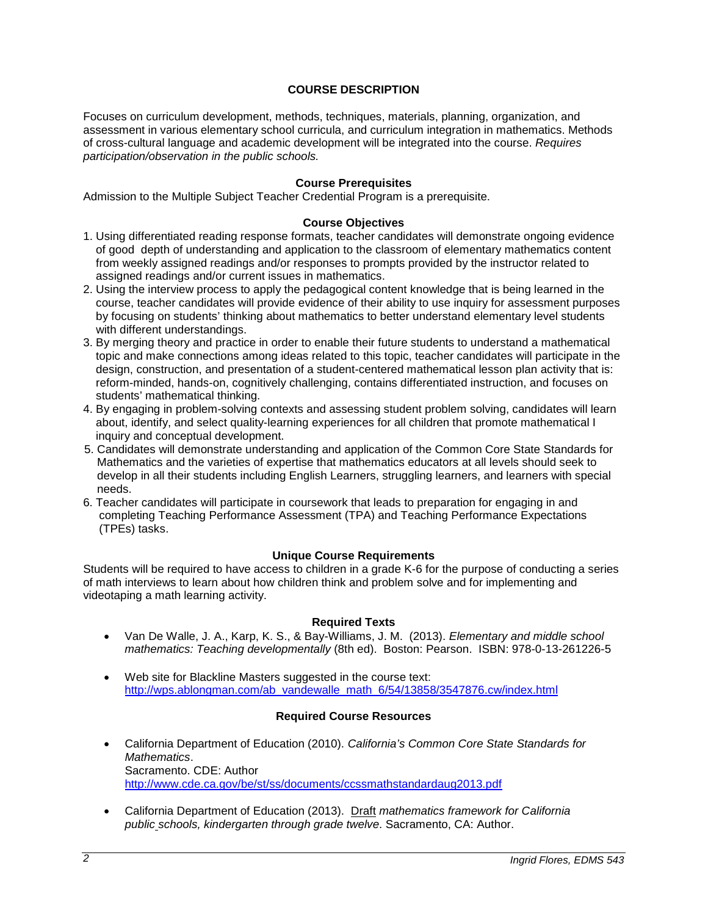## **COURSE DESCRIPTION**

Focuses on curriculum development, methods, techniques, materials, planning, organization, and assessment in various elementary school curricula, and curriculum integration in mathematics. Methods of cross-cultural language and academic development will be integrated into the course. *Requires participation/observation in the public schools.*

### **Course Prerequisites**

Admission to the Multiple Subject Teacher Credential Program is a prerequisite.

### **Course Objectives**

- 1. Using differentiated reading response formats, teacher candidates will demonstrate ongoing evidence of good depth of understanding and application to the classroom of elementary mathematics content from weekly assigned readings and/or responses to prompts provided by the instructor related to assigned readings and/or current issues in mathematics.
- 2. Using the interview process to apply the pedagogical content knowledge that is being learned in the course, teacher candidates will provide evidence of their ability to use inquiry for assessment purposes by focusing on students' thinking about mathematics to better understand elementary level students with different understandings.
- 3. By merging theory and practice in order to enable their future students to understand a mathematical topic and make connections among ideas related to this topic, teacher candidates will participate in the design, construction, and presentation of a student-centered mathematical lesson plan activity that is: reform-minded, hands-on, cognitively challenging, contains differentiated instruction, and focuses on students' mathematical thinking.
- 4. By engaging in problem-solving contexts and assessing student problem solving, candidates will learn about, identify, and select quality-learning experiences for all children that promote mathematical I inquiry and conceptual development.
- 5. Candidates will demonstrate understanding and application of the Common Core State Standards for Mathematics and the varieties of expertise that mathematics educators at all levels should seek to develop in all their students including English Learners, struggling learners, and learners with special needs.
- 6. Teacher candidates will participate in coursework that leads to preparation for engaging in and completing Teaching Performance Assessment (TPA) and Teaching Performance Expectations (TPEs) tasks.

#### **Unique Course Requirements**

Students will be required to have access to children in a grade K-6 for the purpose of conducting a series of math interviews to learn about how children think and problem solve and for implementing and videotaping a math learning activity.

#### **Required Texts**

- Van De Walle, J. A., Karp, K. S., & Bay-Williams, J. M. (2013). *Elementary and middle school mathematics: Teaching developmentally* (8th ed). Boston: Pearson. ISBN: 978-0-13-261226-5
- Web site for Blackline Masters suggested in the course text: [http://wps.ablongman.com/ab\\_vandewalle\\_math\\_6/54/13858/3547876.cw/index.html](http://wps.ablongman.com/ab_vandewalle_math_6/54/13858/3547876.cw/index.html)

#### **Required Course Resources**

- California Department of Education (2010). *California's Common Core State Standards for Mathematics*. Sacramento. CDE: Author <http://www.cde.ca.gov/be/st/ss/documents/ccssmathstandardaug2013.pdf>
- California Department of Education (2013). Draft *mathematics framework for California public schools, kindergarten through grade twelve*. Sacramento, CA: Author.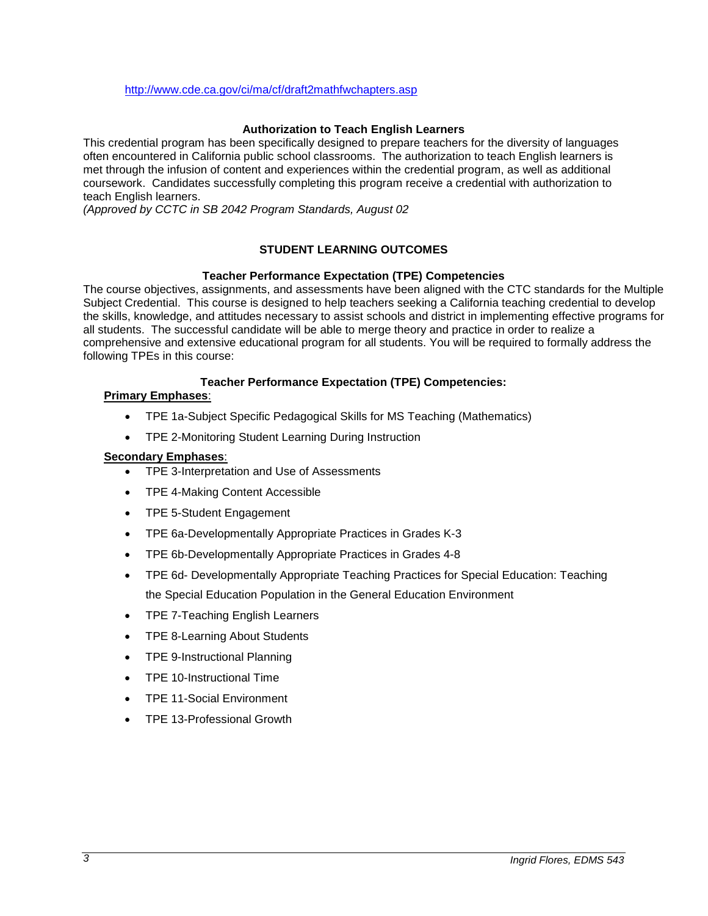<http://www.cde.ca.gov/ci/ma/cf/draft2mathfwchapters.asp>

## **Authorization to Teach English Learners**

This credential program has been specifically designed to prepare teachers for the diversity of languages often encountered in California public school classrooms. The authorization to teach English learners is met through the infusion of content and experiences within the credential program, as well as additional coursework. Candidates successfully completing this program receive a credential with authorization to teach English learners.

*(Approved by CCTC in SB 2042 Program Standards, August 02*

# **STUDENT LEARNING OUTCOMES**

## **Teacher Performance Expectation (TPE) Competencies**

The course objectives, assignments, and assessments have been aligned with the CTC standards for the Multiple Subject Credential. This course is designed to help teachers seeking a California teaching credential to develop the skills, knowledge, and attitudes necessary to assist schools and district in implementing effective programs for all students. The successful candidate will be able to merge theory and practice in order to realize a comprehensive and extensive educational program for all students. You will be required to formally address the following TPEs in this course:

### **Teacher Performance Expectation (TPE) Competencies:**

#### **Primary Emphases**:

- TPE 1a-Subject Specific Pedagogical Skills for MS Teaching (Mathematics)
- TPE 2-Monitoring Student Learning During Instruction

## **Secondary Emphases**:

- TPE 3-Interpretation and Use of Assessments
- TPE 4-Making Content Accessible
- TPE 5-Student Engagement
- TPE 6a-Developmentally Appropriate Practices in Grades K-3
- TPE 6b-Developmentally Appropriate Practices in Grades 4-8
- TPE 6d- Developmentally Appropriate Teaching Practices for Special Education: Teaching the Special Education Population in the General Education Environment
- TPE 7-Teaching English Learners
- TPE 8-Learning About Students
- TPE 9-Instructional Planning
- TPE 10-Instructional Time
- TPE 11-Social Environment
- TPE 13-Professional Growth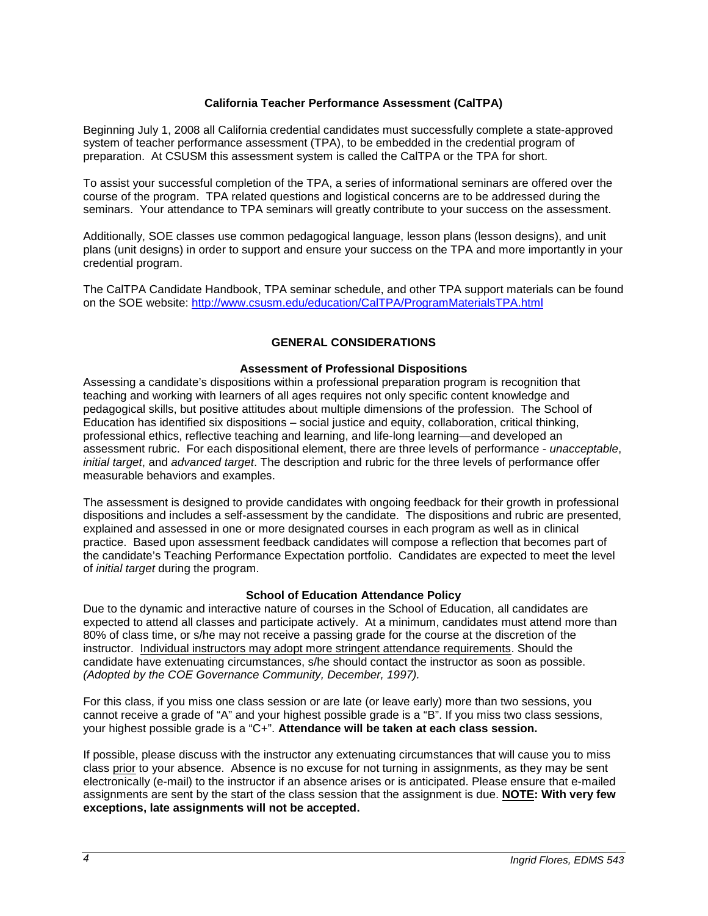### **California Teacher Performance Assessment (CalTPA)**

Beginning July 1, 2008 all California credential candidates must successfully complete a state-approved system of teacher performance assessment (TPA), to be embedded in the credential program of preparation. At CSUSM this assessment system is called the CalTPA or the TPA for short.

To assist your successful completion of the TPA, a series of informational seminars are offered over the course of the program. TPA related questions and logistical concerns are to be addressed during the seminars. Your attendance to TPA seminars will greatly contribute to your success on the assessment.

Additionally, SOE classes use common pedagogical language, lesson plans (lesson designs), and unit plans (unit designs) in order to support and ensure your success on the TPA and more importantly in your credential program.

The CalTPA Candidate Handbook, TPA seminar schedule, and other TPA support materials can be found on the SOE website: <http://www.csusm.edu/education/CalTPA/ProgramMaterialsTPA.html>

## **GENERAL CONSIDERATIONS**

### **Assessment of Professional Dispositions**

Assessing a candidate's dispositions within a professional preparation program is recognition that teaching and working with learners of all ages requires not only specific content knowledge and pedagogical skills, but positive attitudes about multiple dimensions of the profession. The School of Education has identified six dispositions – social justice and equity, collaboration, critical thinking, professional ethics, reflective teaching and learning, and life-long learning—and developed an assessment rubric. For each dispositional element, there are three levels of performance - *unacceptable*, *initial target*, and *advanced target*. The description and rubric for the three levels of performance offer measurable behaviors and examples.

The assessment is designed to provide candidates with ongoing feedback for their growth in professional dispositions and includes a self-assessment by the candidate. The dispositions and rubric are presented, explained and assessed in one or more designated courses in each program as well as in clinical practice. Based upon assessment feedback candidates will compose a reflection that becomes part of the candidate's Teaching Performance Expectation portfolio. Candidates are expected to meet the level of *initial target* during the program.

#### **School of Education Attendance Policy**

Due to the dynamic and interactive nature of courses in the School of Education, all candidates are expected to attend all classes and participate actively. At a minimum, candidates must attend more than 80% of class time, or s/he may not receive a passing grade for the course at the discretion of the instructor. Individual instructors may adopt more stringent attendance requirements. Should the candidate have extenuating circumstances, s/he should contact the instructor as soon as possible. *(Adopted by the COE Governance Community, December, 1997).*

For this class, if you miss one class session or are late (or leave early) more than two sessions, you cannot receive a grade of "A" and your highest possible grade is a "B". If you miss two class sessions, your highest possible grade is a "C+". **Attendance will be taken at each class session.**

If possible, please discuss with the instructor any extenuating circumstances that will cause you to miss class prior to your absence. Absence is no excuse for not turning in assignments, as they may be sent electronically (e-mail) to the instructor if an absence arises or is anticipated. Please ensure that e-mailed assignments are sent by the start of the class session that the assignment is due. **NOTE: With very few exceptions, late assignments will not be accepted.**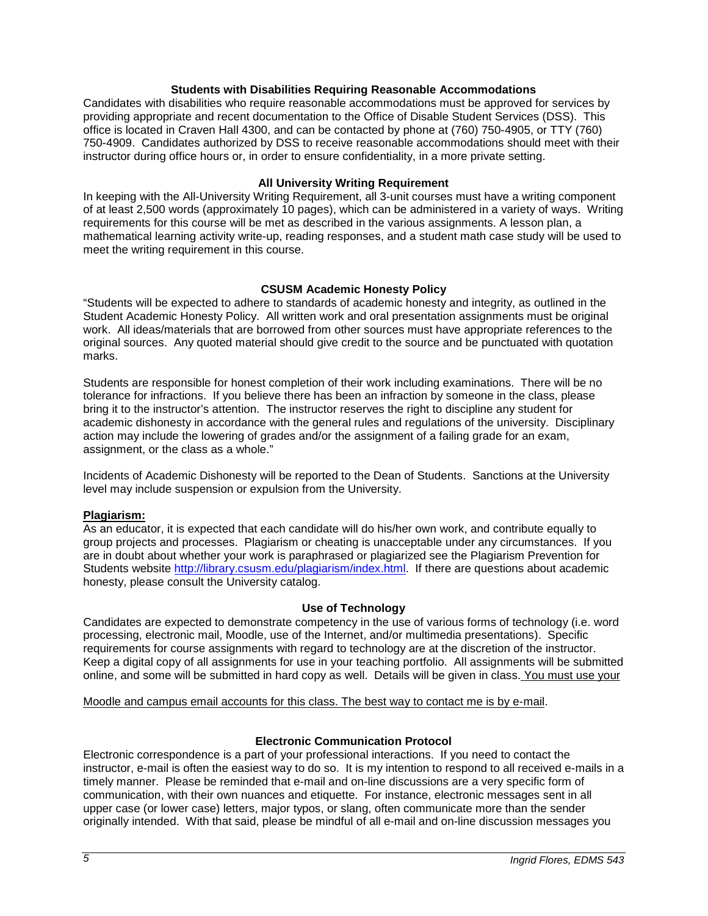### **Students with Disabilities Requiring Reasonable Accommodations**

Candidates with disabilities who require reasonable accommodations must be approved for services by providing appropriate and recent documentation to the Office of Disable Student Services (DSS). This office is located in Craven Hall 4300, and can be contacted by phone at (760) 750-4905, or TTY (760) 750-4909. Candidates authorized by DSS to receive reasonable accommodations should meet with their instructor during office hours or, in order to ensure confidentiality, in a more private setting.

### **All University Writing Requirement**

In keeping with the All-University Writing Requirement, all 3-unit courses must have a writing component of at least 2,500 words (approximately 10 pages), which can be administered in a variety of ways. Writing requirements for this course will be met as described in the various assignments. A lesson plan, a mathematical learning activity write-up, reading responses, and a student math case study will be used to meet the writing requirement in this course.

## **CSUSM Academic Honesty Policy**

"Students will be expected to adhere to standards of academic honesty and integrity, as outlined in the Student Academic Honesty Policy. All written work and oral presentation assignments must be original work. All ideas/materials that are borrowed from other sources must have appropriate references to the original sources. Any quoted material should give credit to the source and be punctuated with quotation marks.

Students are responsible for honest completion of their work including examinations. There will be no tolerance for infractions. If you believe there has been an infraction by someone in the class, please bring it to the instructor's attention. The instructor reserves the right to discipline any student for academic dishonesty in accordance with the general rules and regulations of the university. Disciplinary action may include the lowering of grades and/or the assignment of a failing grade for an exam, assignment, or the class as a whole."

Incidents of Academic Dishonesty will be reported to the Dean of Students. Sanctions at the University level may include suspension or expulsion from the University.

## **Plagiarism:**

As an educator, it is expected that each candidate will do his/her own work, and contribute equally to group projects and processes. Plagiarism or cheating is unacceptable under any circumstances. If you are in doubt about whether your work is paraphrased or plagiarized see the Plagiarism Prevention for Students website [http://library.csusm.edu/plagiarism/index.html.](http://library.csusm.edu/plagiarism/index.html) If there are questions about academic honesty, please consult the University catalog.

#### **Use of Technology**

Candidates are expected to demonstrate competency in the use of various forms of technology (i.e. word processing, electronic mail, Moodle, use of the Internet, and/or multimedia presentations). Specific requirements for course assignments with regard to technology are at the discretion of the instructor. Keep a digital copy of all assignments for use in your teaching portfolio. All assignments will be submitted online, and some will be submitted in hard copy as well. Details will be given in class. You must use your

Moodle and campus email accounts for this class. The best way to contact me is by e-mail.

## **Electronic Communication Protocol**

Electronic correspondence is a part of your professional interactions. If you need to contact the instructor, e-mail is often the easiest way to do so. It is my intention to respond to all received e-mails in a timely manner. Please be reminded that e-mail and on-line discussions are a very specific form of communication, with their own nuances and etiquette. For instance, electronic messages sent in all upper case (or lower case) letters, major typos, or slang, often communicate more than the sender originally intended. With that said, please be mindful of all e-mail and on-line discussion messages you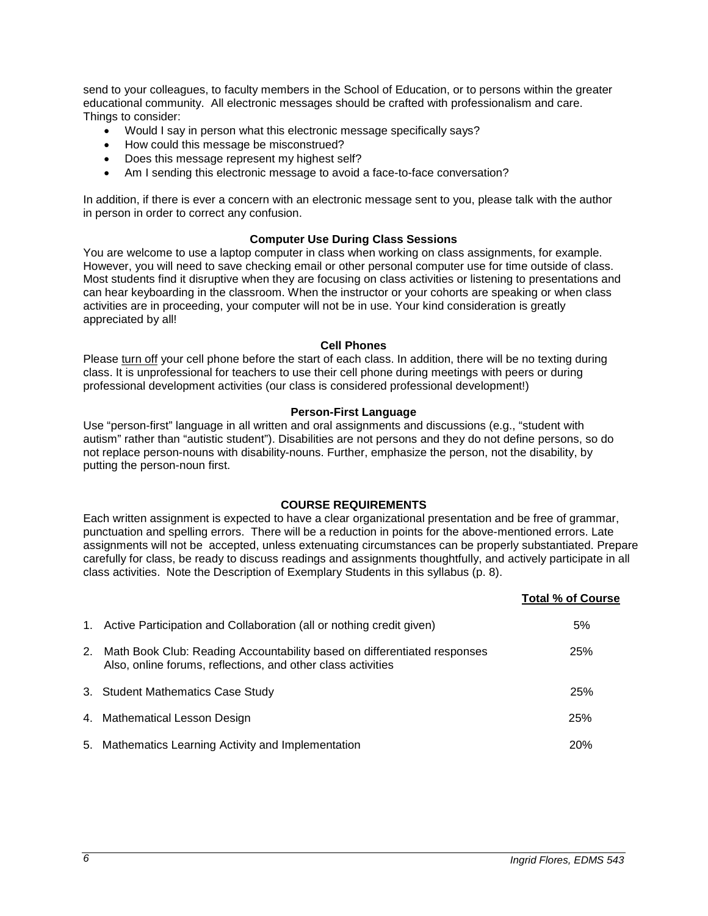send to your colleagues, to faculty members in the School of Education, or to persons within the greater educational community. All electronic messages should be crafted with professionalism and care. Things to consider:

- Would I say in person what this electronic message specifically says?
- How could this message be misconstrued?
- Does this message represent my highest self?
- Am I sending this electronic message to avoid a face-to-face conversation?

In addition, if there is ever a concern with an electronic message sent to you, please talk with the author in person in order to correct any confusion.

#### **Computer Use During Class Sessions**

You are welcome to use a laptop computer in class when working on class assignments, for example. However, you will need to save checking email or other personal computer use for time outside of class. Most students find it disruptive when they are focusing on class activities or listening to presentations and can hear keyboarding in the classroom. When the instructor or your cohorts are speaking or when class activities are in proceeding, your computer will not be in use. Your kind consideration is greatly appreciated by all!

#### **Cell Phones**

Please turn off your cell phone before the start of each class. In addition, there will be no texting during class. It is unprofessional for teachers to use their cell phone during meetings with peers or during professional development activities (our class is considered professional development!)

#### **Person-First Language**

Use "person-first" language in all written and oral assignments and discussions (e.g., "student with autism" rather than "autistic student"). Disabilities are not persons and they do not define persons, so do not replace person-nouns with disability-nouns. Further, emphasize the person, not the disability, by putting the person-noun first.

## **COURSE REQUIREMENTS**

Each written assignment is expected to have a clear organizational presentation and be free of grammar, punctuation and spelling errors. There will be a reduction in points for the above-mentioned errors. Late assignments will not be accepted, unless extenuating circumstances can be properly substantiated. Prepare carefully for class, be ready to discuss readings and assignments thoughtfully, and actively participate in all class activities. Note the Description of Exemplary Students in this syllabus (p. 8).

|    |                                                                                                                                          | Total % of Course |
|----|------------------------------------------------------------------------------------------------------------------------------------------|-------------------|
|    | 1. Active Participation and Collaboration (all or nothing credit given)                                                                  | 5%                |
| 2. | Math Book Club: Reading Accountability based on differentiated responses<br>Also, online forums, reflections, and other class activities | 25%               |
|    | 3. Student Mathematics Case Study                                                                                                        | 25%               |
|    | 4. Mathematical Lesson Design                                                                                                            | 25%               |
|    | 5. Mathematics Learning Activity and Implementation                                                                                      | 20%               |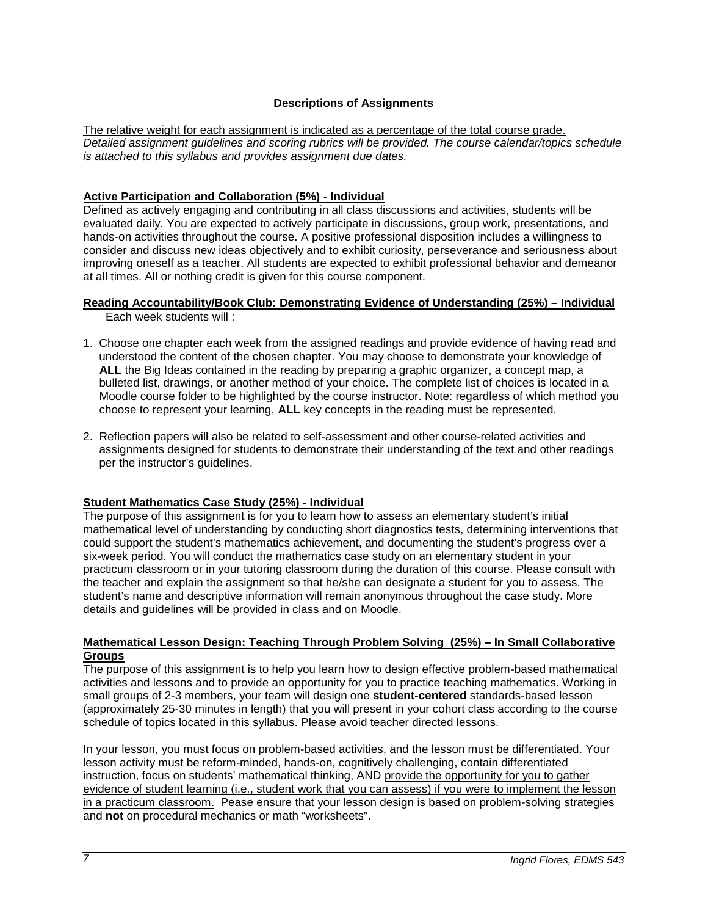## **Descriptions of Assignments**

The relative weight for each assignment is indicated as a percentage of the total course grade. *Detailed assignment guidelines and scoring rubrics will be provided. The course calendar/topics schedule is attached to this syllabus and provides assignment due dates.*

## **Active Participation and Collaboration (5%) - Individual**

Defined as actively engaging and contributing in all class discussions and activities, students will be evaluated daily. You are expected to actively participate in discussions, group work, presentations, and hands-on activities throughout the course. A positive professional disposition includes a willingness to consider and discuss new ideas objectively and to exhibit curiosity, perseverance and seriousness about improving oneself as a teacher. All students are expected to exhibit professional behavior and demeanor at all times. All or nothing credit is given for this course component.

#### **Reading Accountability/Book Club: Demonstrating Evidence of Understanding (25%) – Individual** Each week students will :

- 1. Choose one chapter each week from the assigned readings and provide evidence of having read and understood the content of the chosen chapter. You may choose to demonstrate your knowledge of **ALL** the Big Ideas contained in the reading by preparing a graphic organizer, a concept map, a bulleted list, drawings, or another method of your choice. The complete list of choices is located in a Moodle course folder to be highlighted by the course instructor. Note: regardless of which method you choose to represent your learning, **ALL** key concepts in the reading must be represented.
- 2. Reflection papers will also be related to self-assessment and other course-related activities and assignments designed for students to demonstrate their understanding of the text and other readings per the instructor's guidelines.

## **Student Mathematics Case Study (25%) - Individual**

The purpose of this assignment is for you to learn how to assess an elementary student's initial mathematical level of understanding by conducting short diagnostics tests, determining interventions that could support the student's mathematics achievement, and documenting the student's progress over a six-week period. You will conduct the mathematics case study on an elementary student in your practicum classroom or in your tutoring classroom during the duration of this course. Please consult with the teacher and explain the assignment so that he/she can designate a student for you to assess. The student's name and descriptive information will remain anonymous throughout the case study. More details and guidelines will be provided in class and on Moodle.

### **Mathematical Lesson Design: Teaching Through Problem Solving (25%) – In Small Collaborative Groups**

The purpose of this assignment is to help you learn how to design effective problem-based mathematical activities and lessons and to provide an opportunity for you to practice teaching mathematics. Working in small groups of 2-3 members, your team will design one **student-centered** standards-based lesson (approximately 25-30 minutes in length) that you will present in your cohort class according to the course schedule of topics located in this syllabus. Please avoid teacher directed lessons.

In your lesson, you must focus on problem-based activities, and the lesson must be differentiated. Your lesson activity must be reform-minded, hands-on, cognitively challenging, contain differentiated instruction, focus on students' mathematical thinking, AND provide the opportunity for you to gather evidence of student learning (i.e., student work that you can assess) if you were to implement the lesson in a practicum classroom. Pease ensure that your lesson design is based on problem-solving strategies and **not** on procedural mechanics or math "worksheets".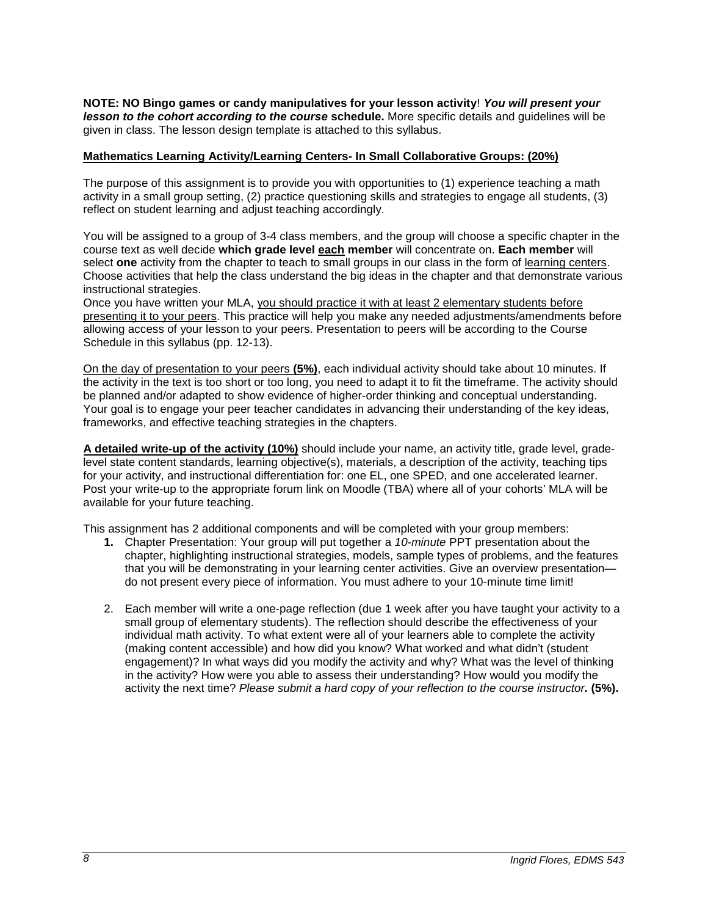**NOTE: NO Bingo games or candy manipulatives for your lesson activity**! *You will present your lesson to the cohort according to the course* **schedule.** More specific details and guidelines will be given in class. The lesson design template is attached to this syllabus.

### **Mathematics Learning Activity/Learning Centers- In Small Collaborative Groups: (20%)**

The purpose of this assignment is to provide you with opportunities to (1) experience teaching a math activity in a small group setting, (2) practice questioning skills and strategies to engage all students, (3) reflect on student learning and adjust teaching accordingly.

You will be assigned to a group of 3-4 class members, and the group will choose a specific chapter in the course text as well decide **which grade level each member** will concentrate on. **Each member** will select **one** activity from the chapter to teach to small groups in our class in the form of learning centers. Choose activities that help the class understand the big ideas in the chapter and that demonstrate various instructional strategies.

Once you have written your MLA, you should practice it with at least 2 elementary students before presenting it to your peers. This practice will help you make any needed adjustments/amendments before allowing access of your lesson to your peers. Presentation to peers will be according to the Course Schedule in this syllabus (pp. 12-13).

On the day of presentation to your peers **(5%)**, each individual activity should take about 10 minutes. If the activity in the text is too short or too long, you need to adapt it to fit the timeframe. The activity should be planned and/or adapted to show evidence of higher-order thinking and conceptual understanding. Your goal is to engage your peer teacher candidates in advancing their understanding of the key ideas, frameworks, and effective teaching strategies in the chapters.

**A detailed write-up of the activity (10%)** should include your name, an activity title, grade level, gradelevel state content standards, learning objective(s), materials, a description of the activity, teaching tips for your activity, and instructional differentiation for: one EL, one SPED, and one accelerated learner. Post your write-up to the appropriate forum link on Moodle (TBA) where all of your cohorts' MLA will be available for your future teaching.

This assignment has 2 additional components and will be completed with your group members:

- **1.** Chapter Presentation: Your group will put together a *10-minute* PPT presentation about the chapter, highlighting instructional strategies, models, sample types of problems, and the features that you will be demonstrating in your learning center activities. Give an overview presentation do not present every piece of information. You must adhere to your 10-minute time limit!
- 2. Each member will write a one-page reflection (due 1 week after you have taught your activity to a small group of elementary students). The reflection should describe the effectiveness of your individual math activity. To what extent were all of your learners able to complete the activity (making content accessible) and how did you know? What worked and what didn't (student engagement)? In what ways did you modify the activity and why? What was the level of thinking in the activity? How were you able to assess their understanding? How would you modify the activity the next time? *Please submit a hard copy of your reflection to the course instructor.* **(5%).**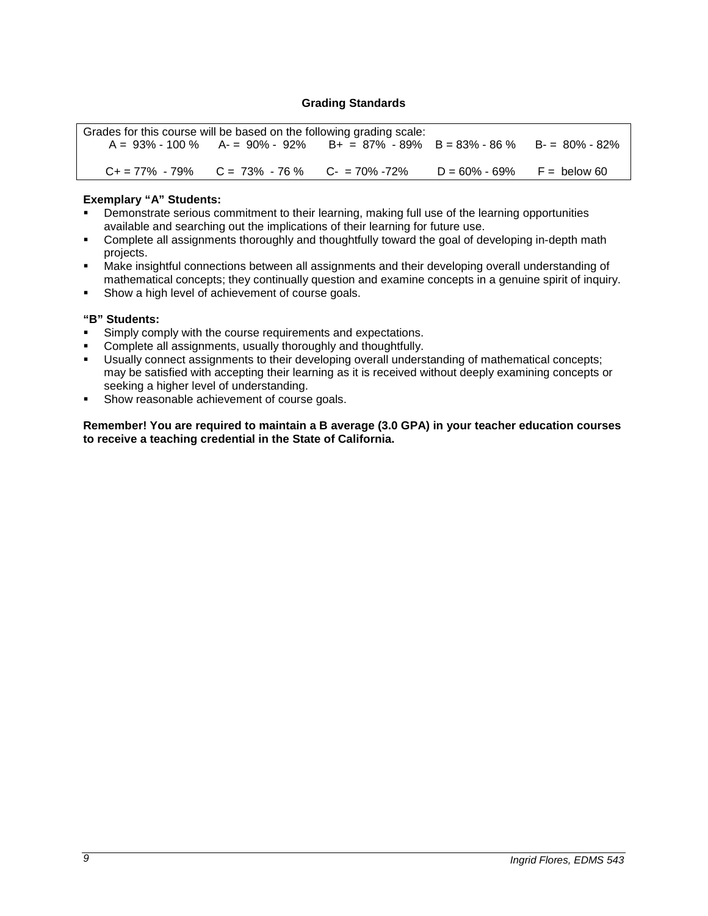## **Grading Standards**

| Grades for this course will be based on the following grading scale: |                                                                                              |  |                                |  |
|----------------------------------------------------------------------|----------------------------------------------------------------------------------------------|--|--------------------------------|--|
|                                                                      | $A = 93\% - 100\%$ $A = 90\% - 92\%$ $B + = 87\% - 89\%$ $B = 83\% - 86\%$ $B = 80\% - 82\%$ |  |                                |  |
|                                                                      |                                                                                              |  |                                |  |
|                                                                      | $C_+ = 77\% - 79\%$ $C = 73\% - 76\%$ $C_- = 70\% - 72\%$                                    |  | $D = 60\% - 69\%$ F = below 60 |  |

### **Exemplary "A" Students:**

- Demonstrate serious commitment to their learning, making full use of the learning opportunities available and searching out the implications of their learning for future use.
- Complete all assignments thoroughly and thoughtfully toward the goal of developing in-depth math projects.
- Make insightful connections between all assignments and their developing overall understanding of mathematical concepts; they continually question and examine concepts in a genuine spirit of inquiry.
- **Show a high level of achievement of course goals.**

### **"B" Students:**

- **Simply comply with the course requirements and expectations.**
- **Complete all assignments, usually thoroughly and thoughtfully.**
- Usually connect assignments to their developing overall understanding of mathematical concepts; may be satisfied with accepting their learning as it is received without deeply examining concepts or seeking a higher level of understanding.
- Show reasonable achievement of course goals.

**Remember! You are required to maintain a B average (3.0 GPA) in your teacher education courses to receive a teaching credential in the State of California.**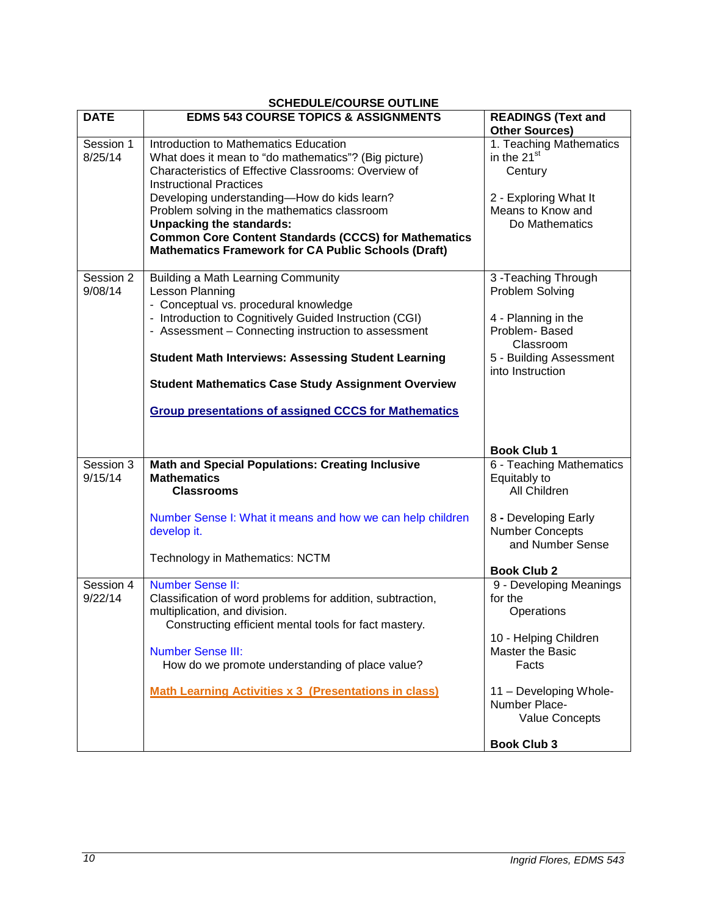| <b>DATE</b> | <b>EDMS 543 COURSE TOPICS &amp; ASSIGNMENTS</b>              | <b>READINGS (Text and</b><br><b>Other Sources)</b> |
|-------------|--------------------------------------------------------------|----------------------------------------------------|
| Session 1   | Introduction to Mathematics Education                        | 1. Teaching Mathematics                            |
| 8/25/14     | What does it mean to "do mathematics"? (Big picture)         | in the 21 <sup>st</sup>                            |
|             | Characteristics of Effective Classrooms: Overview of         |                                                    |
|             | <b>Instructional Practices</b>                               | Century                                            |
|             | Developing understanding-How do kids learn?                  | 2 - Exploring What It                              |
|             | Problem solving in the mathematics classroom                 | Means to Know and                                  |
|             | <b>Unpacking the standards:</b>                              | Do Mathematics                                     |
|             | <b>Common Core Content Standards (CCCS) for Mathematics</b>  |                                                    |
|             | <b>Mathematics Framework for CA Public Schools (Draft)</b>   |                                                    |
|             |                                                              |                                                    |
| Session 2   | <b>Building a Math Learning Community</b>                    | 3 - Teaching Through                               |
| 9/08/14     | Lesson Planning                                              | Problem Solving                                    |
|             | - Conceptual vs. procedural knowledge                        |                                                    |
|             | - Introduction to Cognitively Guided Instruction (CGI)       | 4 - Planning in the                                |
|             | - Assessment - Connecting instruction to assessment          | Problem-Based                                      |
|             |                                                              | Classroom                                          |
|             | <b>Student Math Interviews: Assessing Student Learning</b>   | 5 - Building Assessment                            |
|             |                                                              | into Instruction                                   |
|             | <b>Student Mathematics Case Study Assignment Overview</b>    |                                                    |
|             | <b>Group presentations of assigned CCCS for Mathematics</b>  |                                                    |
|             |                                                              |                                                    |
|             |                                                              | <b>Book Club 1</b>                                 |
| Session 3   | <b>Math and Special Populations: Creating Inclusive</b>      | 6 - Teaching Mathematics                           |
| 9/15/14     | <b>Mathematics</b>                                           | Equitably to                                       |
|             | <b>Classrooms</b>                                            | All Children                                       |
|             |                                                              |                                                    |
|             | Number Sense I: What it means and how we can help children   | 8 - Developing Early                               |
|             | develop it.                                                  | <b>Number Concepts</b>                             |
|             |                                                              | and Number Sense                                   |
|             | <b>Technology in Mathematics: NCTM</b>                       |                                                    |
|             |                                                              | <b>Book Club 2</b>                                 |
| Session 4   | <b>Number Sense II:</b>                                      | 9 - Developing Meanings                            |
| 9/22/14     | Classification of word problems for addition, subtraction,   | for the                                            |
|             | multiplication, and division.                                | Operations                                         |
|             | Constructing efficient mental tools for fact mastery.        |                                                    |
|             |                                                              | 10 - Helping Children                              |
|             | <b>Number Sense III:</b>                                     | Master the Basic                                   |
|             | How do we promote understanding of place value?              | Facts                                              |
|             |                                                              |                                                    |
|             | <b>Math Learning Activities x 3 (Presentations in class)</b> | 11 - Developing Whole-                             |
|             |                                                              | Number Place-                                      |
|             |                                                              | <b>Value Concepts</b>                              |
|             |                                                              |                                                    |
|             |                                                              | <b>Book Club 3</b>                                 |

## **SCHEDULE/COURSE OUTLINE**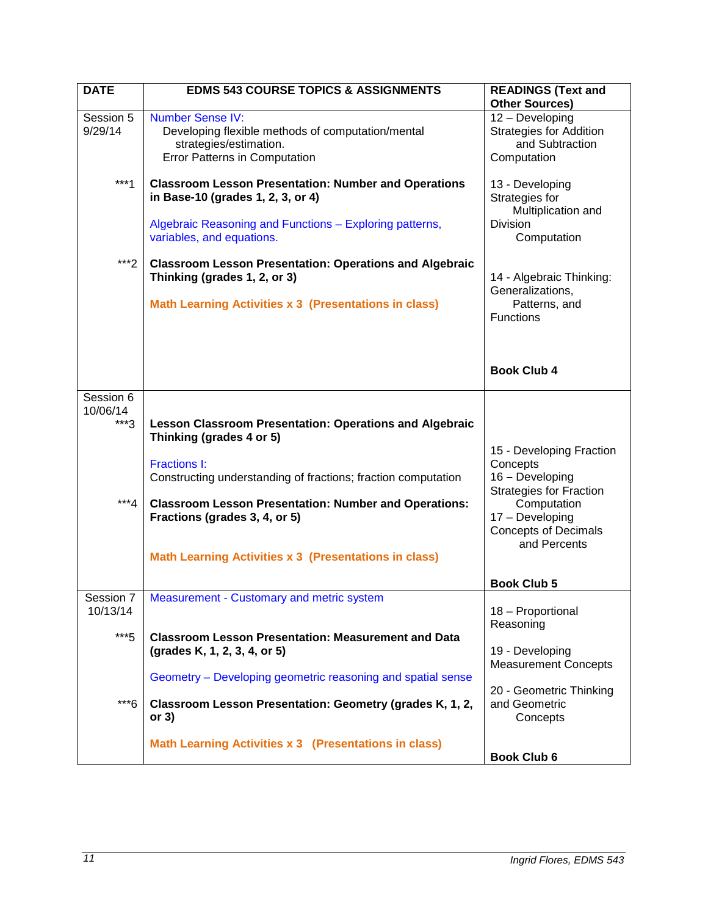| <b>DATE</b>           | <b>EDMS 543 COURSE TOPICS &amp; ASSIGNMENTS</b>                                                                                                                                          | <b>READINGS (Text and</b><br><b>Other Sources)</b>                                        |
|-----------------------|------------------------------------------------------------------------------------------------------------------------------------------------------------------------------------------|-------------------------------------------------------------------------------------------|
|                       |                                                                                                                                                                                          |                                                                                           |
| Session 5<br>9/29/14  | <b>Number Sense IV:</b><br>Developing flexible methods of computation/mental<br>strategies/estimation.<br><b>Error Patterns in Computation</b>                                           | 12 - Developing<br><b>Strategies for Addition</b><br>and Subtraction<br>Computation       |
| $***1$                | <b>Classroom Lesson Presentation: Number and Operations</b><br>in Base-10 (grades 1, 2, 3, or 4)<br>Algebraic Reasoning and Functions - Exploring patterns,<br>variables, and equations. | 13 - Developing<br>Strategies for<br>Multiplication and<br><b>Division</b><br>Computation |
| $***2$                | <b>Classroom Lesson Presentation: Operations and Algebraic</b><br>Thinking (grades 1, 2, or 3)<br><b>Math Learning Activities x 3 (Presentations in class)</b>                           | 14 - Algebraic Thinking:<br>Generalizations,<br>Patterns, and<br>Functions                |
|                       |                                                                                                                                                                                          | <b>Book Club 4</b>                                                                        |
| Session 6             |                                                                                                                                                                                          |                                                                                           |
| 10/06/14<br>$***3$    | <b>Lesson Classroom Presentation: Operations and Algebraic</b><br>Thinking (grades 4 or 5)                                                                                               | 15 - Developing Fraction                                                                  |
|                       | <b>Fractions I:</b><br>Constructing understanding of fractions; fraction computation                                                                                                     | Concepts<br>16 - Developing<br><b>Strategies for Fraction</b>                             |
| $***4$                | <b>Classroom Lesson Presentation: Number and Operations:</b><br>Fractions (grades 3, 4, or 5)                                                                                            | Computation<br>17 - Developing<br><b>Concepts of Decimals</b><br>and Percents             |
|                       | <b>Math Learning Activities x 3 (Presentations in class)</b>                                                                                                                             |                                                                                           |
|                       |                                                                                                                                                                                          | <b>Book Club 5</b>                                                                        |
| Session 7<br>10/13/14 | Measurement - Customary and metric system                                                                                                                                                | 18 - Proportional<br>Reasoning                                                            |
| $***5$                | <b>Classroom Lesson Presentation: Measurement and Data</b><br>(grades K, 1, 2, 3, 4, or 5)                                                                                               | 19 - Developing<br><b>Measurement Concepts</b>                                            |
|                       | Geometry – Developing geometric reasoning and spatial sense                                                                                                                              |                                                                                           |
| $***6$                | Classroom Lesson Presentation: Geometry (grades K, 1, 2,<br>or $3)$                                                                                                                      | 20 - Geometric Thinking<br>and Geometric<br>Concepts                                      |
|                       | Math Learning Activities x 3 (Presentations in class)                                                                                                                                    | <b>Book Club 6</b>                                                                        |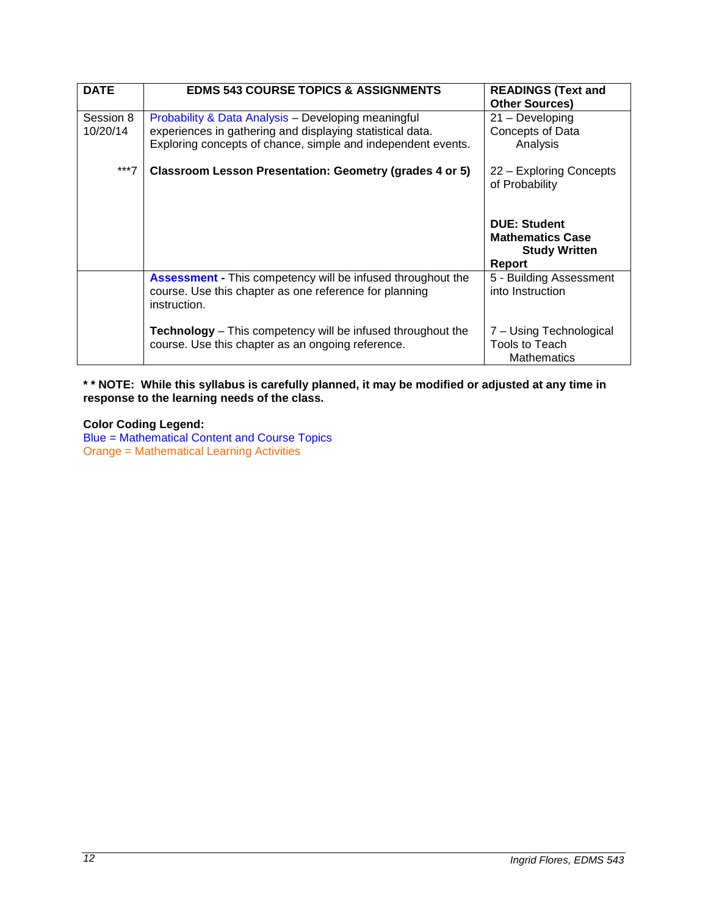| <b>DATE</b>           | <b>EDMS 543 COURSE TOPICS &amp; ASSIGNMENTS</b>                                                                                                                                  | <b>READINGS (Text and</b><br><b>Other Sources)</b>                               |
|-----------------------|----------------------------------------------------------------------------------------------------------------------------------------------------------------------------------|----------------------------------------------------------------------------------|
| Session 8<br>10/20/14 | Probability & Data Analysis - Developing meaningful<br>experiences in gathering and displaying statistical data.<br>Exploring concepts of chance, simple and independent events. | $21 -$ Developing<br>Concepts of Data<br>Analysis                                |
| $***7$                | Classroom Lesson Presentation: Geometry (grades 4 or 5)                                                                                                                          | 22 – Exploring Concepts<br>of Probability                                        |
|                       |                                                                                                                                                                                  | <b>DUE: Student</b><br><b>Mathematics Case</b><br><b>Study Written</b><br>Report |
|                       | <b>Assessment</b> - This competency will be infused throughout the<br>course. Use this chapter as one reference for planning<br>instruction.                                     | 5 - Building Assessment<br>into Instruction                                      |
|                       | <b>Technology</b> – This competency will be infused throughout the<br>course. Use this chapter as an ongoing reference.                                                          | 7 – Using Technological<br>Tools to Teach<br><b>Mathematics</b>                  |

**\* \* NOTE: While this syllabus is carefully planned, it may be modified or adjusted at any time in response to the learning needs of the class.**

**Color Coding Legend:** Blue = Mathematical Content and Course Topics Orange = Mathematical Learning Activities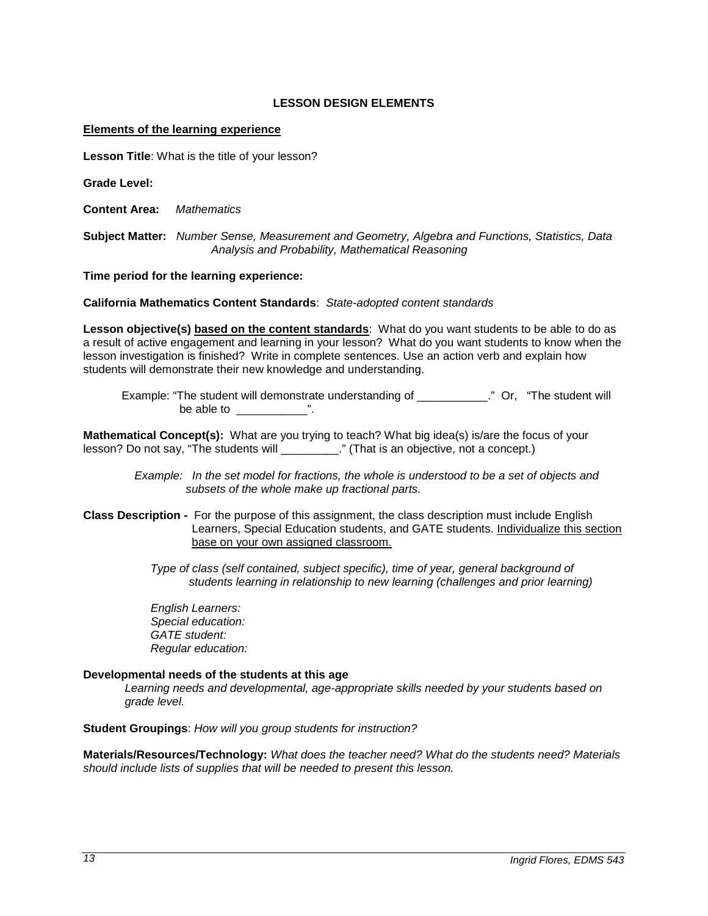## **LESSON DESIGN ELEMENTS**

#### **Elements of the learning experience**

**Lesson Title**: What is the title of your lesson?

**Grade Level:**

**Content Area:** *Mathematics*

**Subject Matter:** *Number Sense, Measurement and Geometry, Algebra and Functions, Statistics, Data Analysis and Probability, Mathematical Reasoning*

**Time period for the learning experience:** 

**California Mathematics Content Standards**: *State-adopted content standards*

**Lesson objective(s) based on the content standards**: What do you want students to be able to do as a result of active engagement and learning in your lesson? What do you want students to know when the lesson investigation is finished? Write in complete sentences. Use an action verb and explain how students will demonstrate their new knowledge and understanding.

 Example: "The student will demonstrate understanding of \_\_\_\_\_\_\_\_\_\_\_." Or, "The student will be able to  $\qquad$  ".

**Mathematical Concept(s):** What are you trying to teach? What big idea(s) is/are the focus of your lesson? Do not say, "The students will \_\_\_\_\_\_\_\_\_\_." (That is an objective, not a concept.)

> *Example: In the set model for fractions, the whole is understood to be a set of objects and subsets of the whole make up fractional parts.*

**Class Description -** For the purpose of this assignment, the class description must include English Learners, Special Education students, and GATE students. Individualize this section base on your own assigned classroom.

> *Type of class (self contained, subject specific), time of year, general background of students learning in relationship to new learning (challenges and prior learning)*

 *English Learners: Special education: GATE student: Regular education:* 

### **Developmental needs of the students at this age**

*Learning needs and developmental, age-appropriate skills needed by your students based on grade level.*

**Student Groupings**: *How will you group students for instruction?*

**Materials/Resources/Technology:** *What does the teacher need? What do the students need? Materials should include lists of supplies that will be needed to present this lesson.*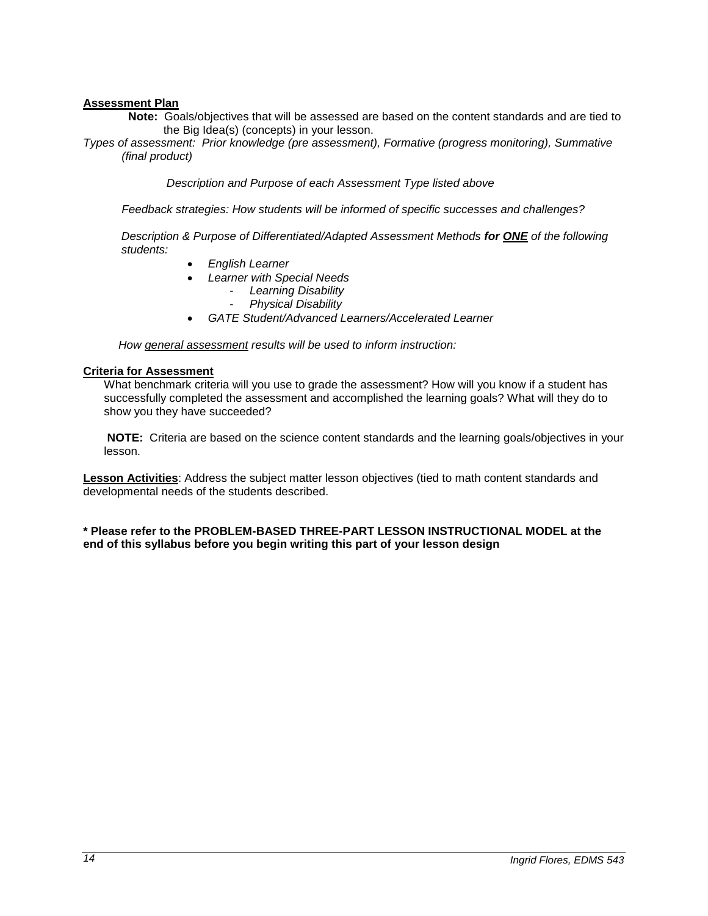### **Assessment Plan**

**Note:** Goals/objectives that will be assessed are based on the content standards and are tied to the Big Idea(s) (concepts) in your lesson.

*Types of assessment: Prior knowledge (pre assessment), Formative (progress monitoring), Summative (final product)*

 *Description and Purpose of each Assessment Type listed above* 

 *Feedback strategies: How students will be informed of specific successes and challenges?*

*Description & Purpose of Differentiated/Adapted Assessment Methods for ONE of the following students:*

- *English Learner*
- *Learner with Special Needs*
	- *Learning Disability*
	- *Physical Disability*
- *GATE Student/Advanced Learners/Accelerated Learner*

 *How general assessment results will be used to inform instruction:*

#### **Criteria for Assessment**

What benchmark criteria will you use to grade the assessment? How will you know if a student has successfully completed the assessment and accomplished the learning goals? What will they do to show you they have succeeded?

**NOTE:** Criteria are based on the science content standards and the learning goals/objectives in your lesson.

**Lesson Activities**: Address the subject matter lesson objectives (tied to math content standards and developmental needs of the students described.

**\* Please refer to the PROBLEM-BASED THREE-PART LESSON INSTRUCTIONAL MODEL at the end of this syllabus before you begin writing this part of your lesson design**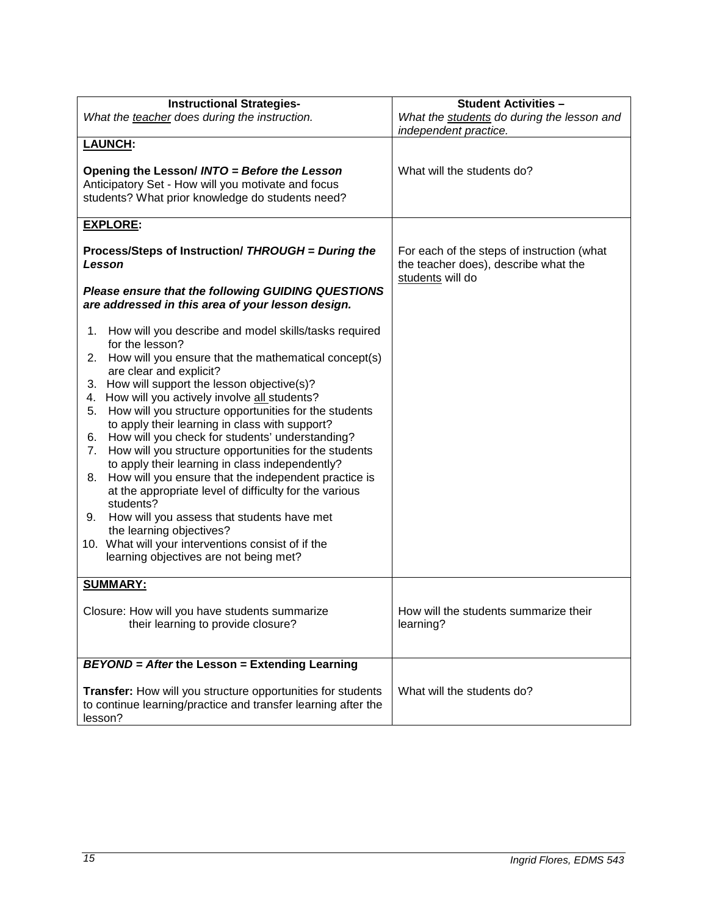| <b>Instructional Strategies-</b>                                                                                                                       | <b>Student Activities -</b>                                                                            |  |
|--------------------------------------------------------------------------------------------------------------------------------------------------------|--------------------------------------------------------------------------------------------------------|--|
| What the teacher does during the instruction.                                                                                                          | What the students do during the lesson and<br>independent practice.                                    |  |
| <b>LAUNCH:</b>                                                                                                                                         |                                                                                                        |  |
| Opening the Lesson/ INTO = Before the Lesson<br>Anticipatory Set - How will you motivate and focus<br>students? What prior knowledge do students need? | What will the students do?                                                                             |  |
| <b>EXPLORE:</b>                                                                                                                                        |                                                                                                        |  |
| Process/Steps of Instruction/ THROUGH = During the<br>Lesson                                                                                           | For each of the steps of instruction (what<br>the teacher does), describe what the<br>students will do |  |
| Please ensure that the following GUIDING QUESTIONS<br>are addressed in this area of your lesson design.                                                |                                                                                                        |  |
| How will you describe and model skills/tasks required<br>1.<br>for the lesson?<br>How will you ensure that the mathematical concept(s)<br>2.           |                                                                                                        |  |
| are clear and explicit?<br>How will support the lesson objective(s)?<br>3.                                                                             |                                                                                                        |  |
| How will you actively involve all students?<br>4.                                                                                                      |                                                                                                        |  |
| How will you structure opportunities for the students<br>5.                                                                                            |                                                                                                        |  |
| to apply their learning in class with support?<br>How will you check for students' understanding?<br>6.                                                |                                                                                                        |  |
| How will you structure opportunities for the students<br>7.<br>to apply their learning in class independently?                                         |                                                                                                        |  |
| How will you ensure that the independent practice is<br>8.<br>at the appropriate level of difficulty for the various                                   |                                                                                                        |  |
| students?<br>How will you assess that students have met<br>9.                                                                                          |                                                                                                        |  |
| the learning objectives?                                                                                                                               |                                                                                                        |  |
| 10. What will your interventions consist of if the<br>learning objectives are not being met?                                                           |                                                                                                        |  |
| <b>SUMMARY:</b>                                                                                                                                        |                                                                                                        |  |
| Closure: How will you have students summarize<br>their learning to provide closure?                                                                    | How will the students summarize their<br>learning?                                                     |  |
|                                                                                                                                                        |                                                                                                        |  |
| <b>BEYOND</b> = After the Lesson = Extending Learning                                                                                                  |                                                                                                        |  |
| Transfer: How will you structure opportunities for students<br>to continue learning/practice and transfer learning after the<br>lesson?                | What will the students do?                                                                             |  |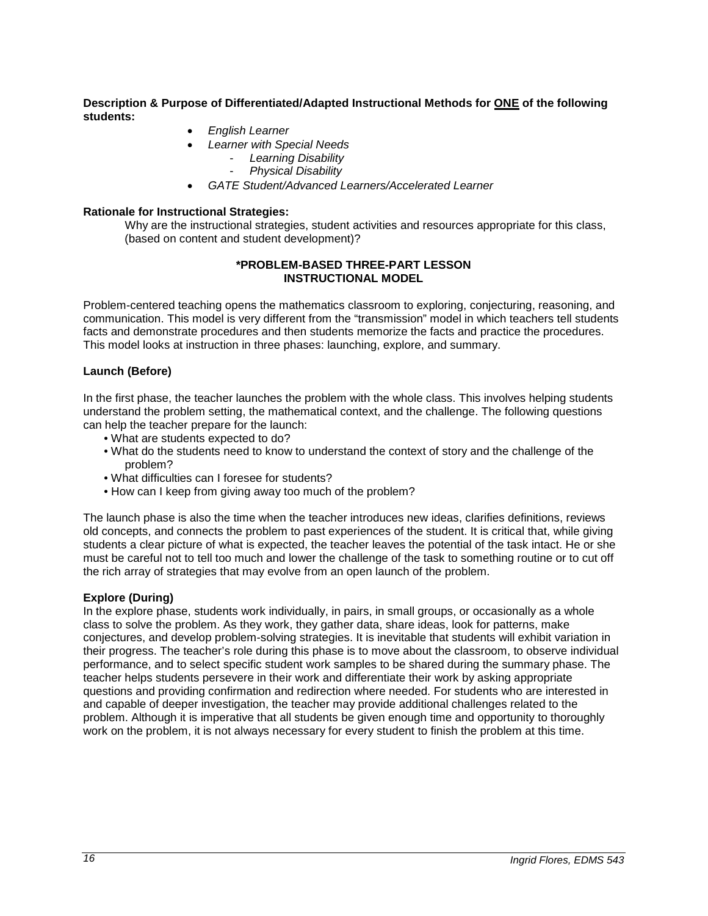### **Description & Purpose of Differentiated/Adapted Instructional Methods for ONE of the following students:**

- *English Learner*
- *Learner with Special Needs*
	- *Learning Disability*
	- *Physical Disability*
- *GATE Student/Advanced Learners/Accelerated Learner*

### **Rationale for Instructional Strategies:**

Why are the instructional strategies, student activities and resources appropriate for this class, (based on content and student development)?

### **\*PROBLEM-BASED THREE-PART LESSON INSTRUCTIONAL MODEL**

Problem-centered teaching opens the mathematics classroom to exploring, conjecturing, reasoning, and communication. This model is very different from the "transmission" model in which teachers tell students facts and demonstrate procedures and then students memorize the facts and practice the procedures. This model looks at instruction in three phases: launching, explore, and summary.

## **Launch (Before)**

In the first phase, the teacher launches the problem with the whole class. This involves helping students understand the problem setting, the mathematical context, and the challenge. The following questions can help the teacher prepare for the launch:

- What are students expected to do?
- What do the students need to know to understand the context of story and the challenge of the problem?
- What difficulties can I foresee for students?
- How can I keep from giving away too much of the problem?

The launch phase is also the time when the teacher introduces new ideas, clarifies definitions, reviews old concepts, and connects the problem to past experiences of the student. It is critical that, while giving students a clear picture of what is expected, the teacher leaves the potential of the task intact. He or she must be careful not to tell too much and lower the challenge of the task to something routine or to cut off the rich array of strategies that may evolve from an open launch of the problem.

#### **Explore (During)**

In the explore phase, students work individually, in pairs, in small groups, or occasionally as a whole class to solve the problem. As they work, they gather data, share ideas, look for patterns, make conjectures, and develop problem-solving strategies. It is inevitable that students will exhibit variation in their progress. The teacher's role during this phase is to move about the classroom, to observe individual performance, and to select specific student work samples to be shared during the summary phase. The teacher helps students persevere in their work and differentiate their work by asking appropriate questions and providing confirmation and redirection where needed. For students who are interested in and capable of deeper investigation, the teacher may provide additional challenges related to the problem. Although it is imperative that all students be given enough time and opportunity to thoroughly work on the problem, it is not always necessary for every student to finish the problem at this time.